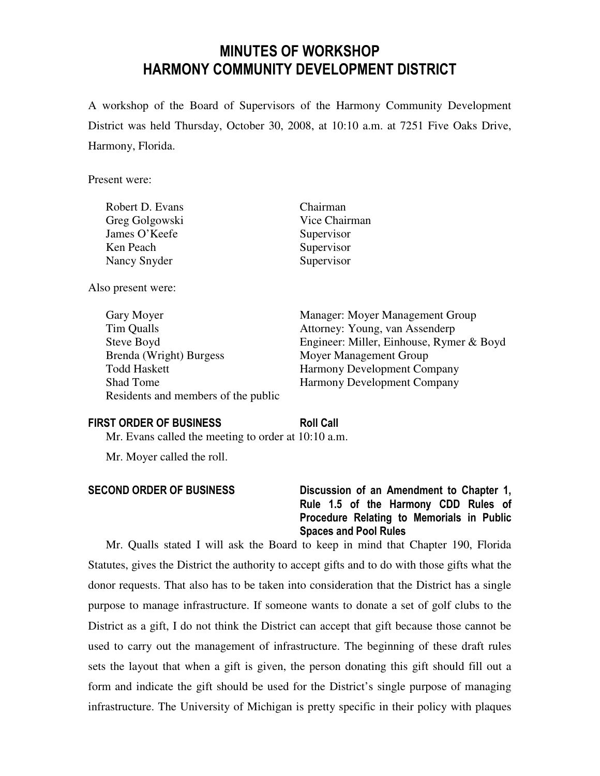# MINUTES OF WORKSHOP HARMONY COMMUNITY DEVELOPMENT DISTRICT

A workshop of the Board of Supervisors of the Harmony Community Development District was held Thursday, October 30, 2008, at 10:10 a.m. at 7251 Five Oaks Drive, Harmony, Florida.

Present were:

| Robert D. Evans | Chairman      |
|-----------------|---------------|
| Greg Golgowski  | Vice Chairman |
| James O'Keefe   | Supervisor    |
| Ken Peach       | Supervisor    |
| Nancy Snyder    | Supervisor    |
|                 |               |

Also present were:

 Tim Qualls Attorney: Young, van Assenderp Brenda (Wright) Burgess Moyer Management Group Todd Haskett Harmony Development Company Shad Tome Harmony Development Company Residents and members of the public

Gary Moyer Manager: Moyer Management Group

Steve Boyd Engineer: Miller, Einhouse, Rymer & Boyd

### FIRST ORDER OF BUSINESS Roll Call

Mr. Evans called the meeting to order at 10:10 a.m.

Mr. Moyer called the roll.

### SECOND ORDER OF BUSINESS Discussion of an Amendment to Chapter 1, Rule 1.5 of the Harmony CDD Rules of Procedure Relating to Memorials in Public Spaces and Pool Rules

Mr. Qualls stated I will ask the Board to keep in mind that Chapter 190, Florida Statutes, gives the District the authority to accept gifts and to do with those gifts what the donor requests. That also has to be taken into consideration that the District has a single purpose to manage infrastructure. If someone wants to donate a set of golf clubs to the District as a gift, I do not think the District can accept that gift because those cannot be used to carry out the management of infrastructure. The beginning of these draft rules sets the layout that when a gift is given, the person donating this gift should fill out a form and indicate the gift should be used for the District's single purpose of managing infrastructure. The University of Michigan is pretty specific in their policy with plaques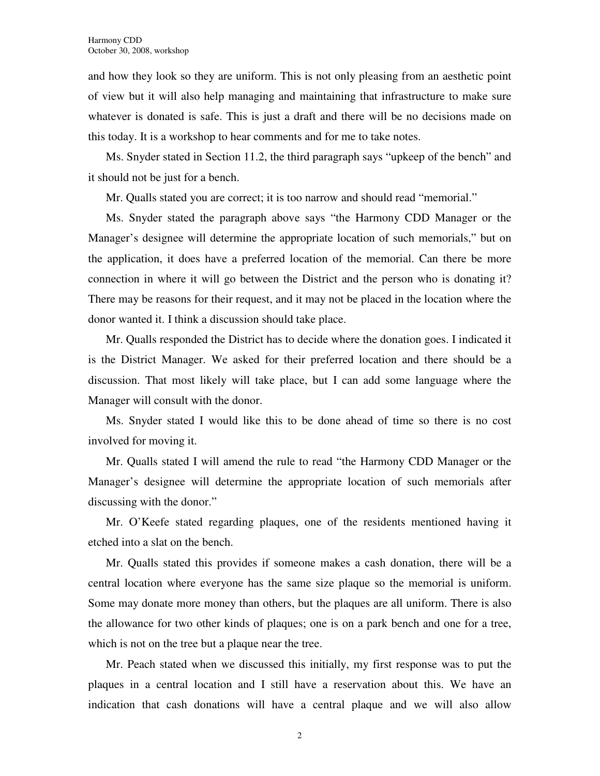and how they look so they are uniform. This is not only pleasing from an aesthetic point of view but it will also help managing and maintaining that infrastructure to make sure whatever is donated is safe. This is just a draft and there will be no decisions made on this today. It is a workshop to hear comments and for me to take notes.

Ms. Snyder stated in Section 11.2, the third paragraph says "upkeep of the bench" and it should not be just for a bench.

Mr. Qualls stated you are correct; it is too narrow and should read "memorial."

Ms. Snyder stated the paragraph above says "the Harmony CDD Manager or the Manager's designee will determine the appropriate location of such memorials," but on the application, it does have a preferred location of the memorial. Can there be more connection in where it will go between the District and the person who is donating it? There may be reasons for their request, and it may not be placed in the location where the donor wanted it. I think a discussion should take place.

Mr. Qualls responded the District has to decide where the donation goes. I indicated it is the District Manager. We asked for their preferred location and there should be a discussion. That most likely will take place, but I can add some language where the Manager will consult with the donor.

Ms. Snyder stated I would like this to be done ahead of time so there is no cost involved for moving it.

Mr. Qualls stated I will amend the rule to read "the Harmony CDD Manager or the Manager's designee will determine the appropriate location of such memorials after discussing with the donor."

Mr. O'Keefe stated regarding plaques, one of the residents mentioned having it etched into a slat on the bench.

Mr. Qualls stated this provides if someone makes a cash donation, there will be a central location where everyone has the same size plaque so the memorial is uniform. Some may donate more money than others, but the plaques are all uniform. There is also the allowance for two other kinds of plaques; one is on a park bench and one for a tree, which is not on the tree but a plaque near the tree.

Mr. Peach stated when we discussed this initially, my first response was to put the plaques in a central location and I still have a reservation about this. We have an indication that cash donations will have a central plaque and we will also allow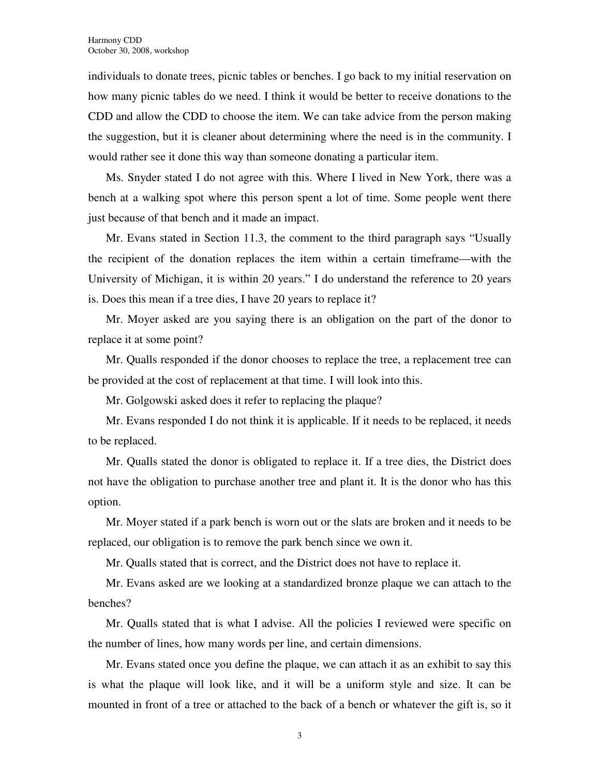individuals to donate trees, picnic tables or benches. I go back to my initial reservation on how many picnic tables do we need. I think it would be better to receive donations to the CDD and allow the CDD to choose the item. We can take advice from the person making the suggestion, but it is cleaner about determining where the need is in the community. I would rather see it done this way than someone donating a particular item.

Ms. Snyder stated I do not agree with this. Where I lived in New York, there was a bench at a walking spot where this person spent a lot of time. Some people went there just because of that bench and it made an impact.

Mr. Evans stated in Section 11.3, the comment to the third paragraph says "Usually the recipient of the donation replaces the item within a certain timeframe—with the University of Michigan, it is within 20 years." I do understand the reference to 20 years is. Does this mean if a tree dies, I have 20 years to replace it?

Mr. Moyer asked are you saying there is an obligation on the part of the donor to replace it at some point?

Mr. Qualls responded if the donor chooses to replace the tree, a replacement tree can be provided at the cost of replacement at that time. I will look into this.

Mr. Golgowski asked does it refer to replacing the plaque?

Mr. Evans responded I do not think it is applicable. If it needs to be replaced, it needs to be replaced.

Mr. Qualls stated the donor is obligated to replace it. If a tree dies, the District does not have the obligation to purchase another tree and plant it. It is the donor who has this option.

Mr. Moyer stated if a park bench is worn out or the slats are broken and it needs to be replaced, our obligation is to remove the park bench since we own it.

Mr. Qualls stated that is correct, and the District does not have to replace it.

Mr. Evans asked are we looking at a standardized bronze plaque we can attach to the benches?

Mr. Qualls stated that is what I advise. All the policies I reviewed were specific on the number of lines, how many words per line, and certain dimensions.

Mr. Evans stated once you define the plaque, we can attach it as an exhibit to say this is what the plaque will look like, and it will be a uniform style and size. It can be mounted in front of a tree or attached to the back of a bench or whatever the gift is, so it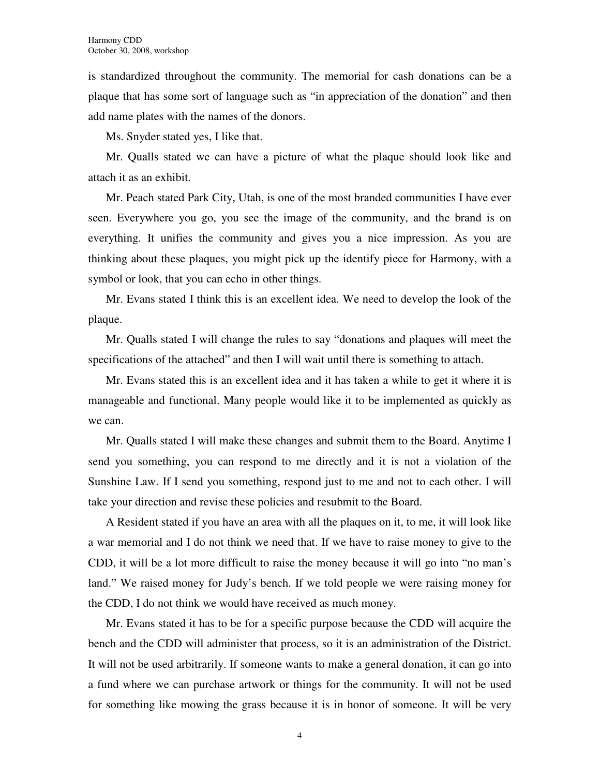is standardized throughout the community. The memorial for cash donations can be a plaque that has some sort of language such as "in appreciation of the donation" and then add name plates with the names of the donors.

Ms. Snyder stated yes, I like that.

Mr. Qualls stated we can have a picture of what the plaque should look like and attach it as an exhibit.

Mr. Peach stated Park City, Utah, is one of the most branded communities I have ever seen. Everywhere you go, you see the image of the community, and the brand is on everything. It unifies the community and gives you a nice impression. As you are thinking about these plaques, you might pick up the identify piece for Harmony, with a symbol or look, that you can echo in other things.

Mr. Evans stated I think this is an excellent idea. We need to develop the look of the plaque.

Mr. Qualls stated I will change the rules to say "donations and plaques will meet the specifications of the attached" and then I will wait until there is something to attach.

Mr. Evans stated this is an excellent idea and it has taken a while to get it where it is manageable and functional. Many people would like it to be implemented as quickly as we can.

Mr. Qualls stated I will make these changes and submit them to the Board. Anytime I send you something, you can respond to me directly and it is not a violation of the Sunshine Law. If I send you something, respond just to me and not to each other. I will take your direction and revise these policies and resubmit to the Board.

A Resident stated if you have an area with all the plaques on it, to me, it will look like a war memorial and I do not think we need that. If we have to raise money to give to the CDD, it will be a lot more difficult to raise the money because it will go into "no man's land." We raised money for Judy's bench. If we told people we were raising money for the CDD, I do not think we would have received as much money.

Mr. Evans stated it has to be for a specific purpose because the CDD will acquire the bench and the CDD will administer that process, so it is an administration of the District. It will not be used arbitrarily. If someone wants to make a general donation, it can go into a fund where we can purchase artwork or things for the community. It will not be used for something like mowing the grass because it is in honor of someone. It will be very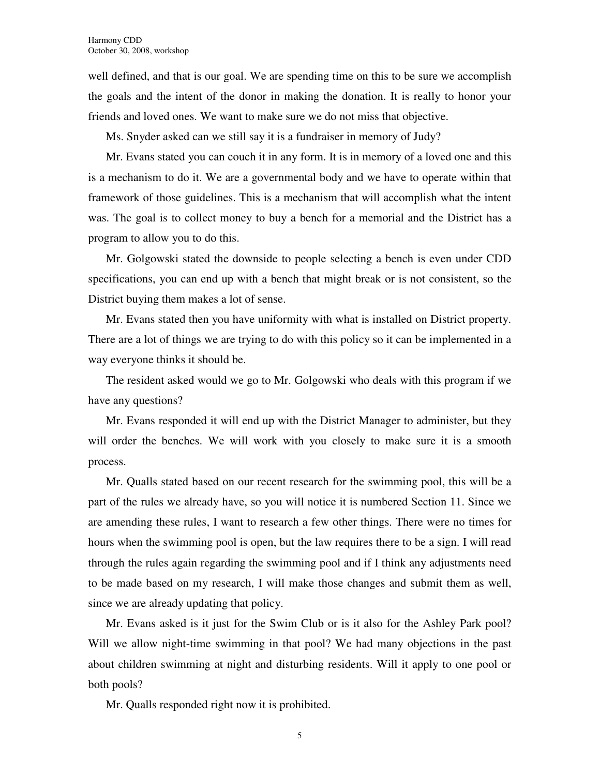well defined, and that is our goal. We are spending time on this to be sure we accomplish the goals and the intent of the donor in making the donation. It is really to honor your friends and loved ones. We want to make sure we do not miss that objective.

Ms. Snyder asked can we still say it is a fundraiser in memory of Judy?

Mr. Evans stated you can couch it in any form. It is in memory of a loved one and this is a mechanism to do it. We are a governmental body and we have to operate within that framework of those guidelines. This is a mechanism that will accomplish what the intent was. The goal is to collect money to buy a bench for a memorial and the District has a program to allow you to do this.

Mr. Golgowski stated the downside to people selecting a bench is even under CDD specifications, you can end up with a bench that might break or is not consistent, so the District buying them makes a lot of sense.

Mr. Evans stated then you have uniformity with what is installed on District property. There are a lot of things we are trying to do with this policy so it can be implemented in a way everyone thinks it should be.

The resident asked would we go to Mr. Golgowski who deals with this program if we have any questions?

Mr. Evans responded it will end up with the District Manager to administer, but they will order the benches. We will work with you closely to make sure it is a smooth process.

Mr. Qualls stated based on our recent research for the swimming pool, this will be a part of the rules we already have, so you will notice it is numbered Section 11. Since we are amending these rules, I want to research a few other things. There were no times for hours when the swimming pool is open, but the law requires there to be a sign. I will read through the rules again regarding the swimming pool and if I think any adjustments need to be made based on my research, I will make those changes and submit them as well, since we are already updating that policy.

Mr. Evans asked is it just for the Swim Club or is it also for the Ashley Park pool? Will we allow night-time swimming in that pool? We had many objections in the past about children swimming at night and disturbing residents. Will it apply to one pool or both pools?

Mr. Qualls responded right now it is prohibited.